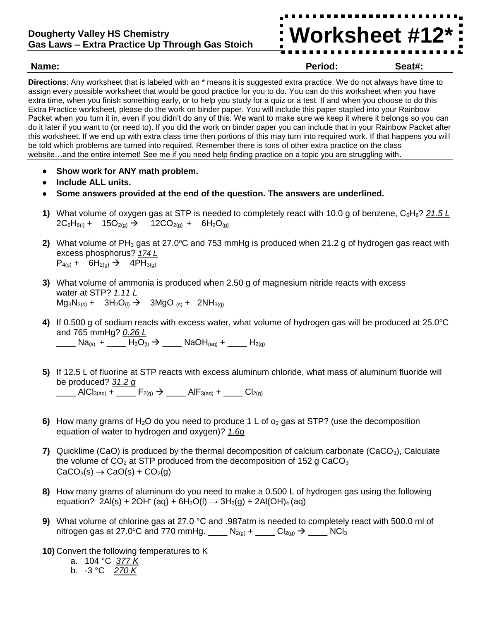#### **Dougherty Valley HS Chemistry Gas Laws – Extra Practice Up Through Gas Stoich**

**Worksheet #12\***

**Name: Period: Seat#:**

**Directions**: Any worksheet that is labeled with an \* means it is suggested extra practice. We do not always have time to assign every possible worksheet that would be good practice for you to do. You can do this worksheet when you have extra time, when you finish something early, or to help you study for a quiz or a test. If and when you choose to do this Extra Practice worksheet, please do the work on binder paper. You will include this paper stapled into your Rainbow Packet when you turn it in, even if you didn't do any of this. We want to make sure we keep it where it belongs so you can do it later if you want to (or need to). If you did the work on binder paper you can include that in your Rainbow Packet after this worksheet. If we end up with extra class time then portions of this may turn into required work. If that happens you will be told which problems are turned into required. Remember there is tons of other extra practice on the class website…and the entire internet! See me if you need help finding practice on a topic you are struggling with.

- **Show work for ANY math problem.**
- **Include ALL units.**
- **Some answers provided at the end of the question. The answers are underlined.**
- **1)** What volume of oxygen gas at STP is needed to completely react with 10.0 g of benzene, C6H6? *21.5 L*  $2C_6H_{6(1)}$  +  $15O_{2(9)}$   $\rightarrow$   $12CO_{2(9)}$  +  $6H_2O_{(9)}$
- **2)** What volume of PH<sub>3</sub> gas at 27.0°C and 753 mmHg is produced when 21.2 g of hydrogen gas react with excess phosphorus? *174 L*  $P_{4(s)}$  + 6H<sub>2(g)</sub>  $\rightarrow$  4PH<sub>3(g)</sub>
- **3)** What volume of ammonia is produced when 2.50 g of magnesium nitride reacts with excess water at STP? *1.11 L*  $Mg_3N_{2(s)} + 3H_2O_{(l)} \rightarrow 3MgO_{(s)} + 2NH_{3(q)}$
- 4) If 0.500 g of sodium reacts with excess water, what volume of hydrogen gas will be produced at 25.0°C and 765 mmHg? *0.26 L*  $\underline{\hspace{1cm}}$  Na<sub>(s)</sub> +  $\underline{\hspace{1cm}}$  H<sub>2</sub>O<sub>(l)</sub>  $\rightarrow$  \_\_\_\_ NaOH<sub>(aq)</sub> + \_\_\_\_ H<sub>2(g)</sub>
- **5)** If 12.5 L of fluorine at STP reacts with excess aluminum chloride, what mass of aluminum fluoride will be produced? *31.2 g*  $\frac{1}{\sqrt{2\pi}}$  AlCl<sub>3(aq)</sub> +  $\frac{1}{\sqrt{2\pi}}$  F<sub>2(g)</sub>  $\rightarrow$   $\frac{1}{\sqrt{2\pi}}$  AlF<sub>3(aq)</sub> +  $\frac{1}{\sqrt{2\pi}}$  Cl<sub>2(g)</sub>
- **6)** How many grams of H<sub>2</sub>O do you need to produce 1 L of  $o_2$  gas at STP? (use the decomposition equation of water to hydrogen and oxygen)? *1.6g*
- **7)** Quicklime (CaO) is produced by the thermal decomposition of calcium carbonate (CaCO<sub>3</sub>), Calculate the volume of  $CO<sub>2</sub>$  at STP produced from the decomposition of 152 g CaCO<sub>3</sub>  $CaCO<sub>3</sub>(s) \rightarrow CaO(s) + CO<sub>2</sub>(q)$
- **8)** How many grams of aluminum do you need to make a 0.500 L of hydrogen gas using the following equation? 2Al(s) + 2OH (aq) + 6H<sub>2</sub>O(l)  $\rightarrow$  3H<sub>2</sub>(g) + 2Al(OH)<sub>4</sub> (aq)
- **9)** What volume of chlorine gas at 27.0 °C and .987atm is needed to completely react with 500.0 ml of nitrogen gas at 27.0°C and 770 mmHg. \_\_\_\_  $N_{2(g)} +$  \_\_\_\_ Cl<sub>2(g)</sub>  $\rightarrow$  \_\_\_\_ NCl<sub>3</sub>
- **10)** Convert the following temperatures to K
	- a. 104 °C *377 K*
	- b. -3 °C *270 K*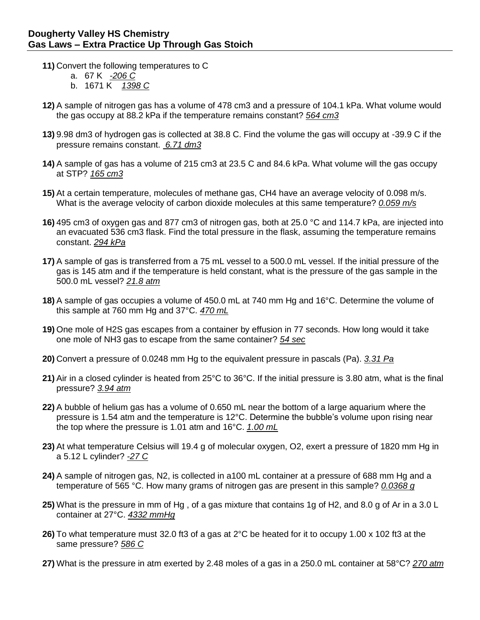- **11)** Convert the following temperatures to C
	- a. 67 K *-206 C*
	- b. 1671 K *1398 C*
- **12)** A sample of nitrogen gas has a volume of 478 cm3 and a pressure of 104.1 kPa. What volume would the gas occupy at 88.2 kPa if the temperature remains constant? *564 cm3*
- **13)** 9.98 dm3 of hydrogen gas is collected at 38.8 C. Find the volume the gas will occupy at -39.9 C if the pressure remains constant. *6.71 dm3*
- **14)** A sample of gas has a volume of 215 cm3 at 23.5 C and 84.6 kPa. What volume will the gas occupy at STP? *165 cm3*
- **15)** At a certain temperature, molecules of methane gas, CH4 have an average velocity of 0.098 m/s. What is the average velocity of carbon dioxide molecules at this same temperature? *0.059 m/s*
- **16)** 495 cm3 of oxygen gas and 877 cm3 of nitrogen gas, both at 25.0 °C and 114.7 kPa, are injected into an evacuated 536 cm3 flask. Find the total pressure in the flask, assuming the temperature remains constant. *294 kPa*
- **17)** A sample of gas is transferred from a 75 mL vessel to a 500.0 mL vessel. If the initial pressure of the gas is 145 atm and if the temperature is held constant, what is the pressure of the gas sample in the 500.0 mL vessel? *21.8 atm*
- **18)** A sample of gas occupies a volume of 450.0 mL at 740 mm Hg and 16°C. Determine the volume of this sample at 760 mm Hg and 37°C. *470 mL*
- **19)** One mole of H2S gas escapes from a container by effusion in 77 seconds. How long would it take one mole of NH3 gas to escape from the same container? *54 sec*
- **20)** Convert a pressure of 0.0248 mm Hg to the equivalent pressure in pascals (Pa). *3.31 Pa*
- **21)** Air in a closed cylinder is heated from 25°C to 36°C. If the initial pressure is 3.80 atm, what is the final pressure? *3.94 atm*
- **22)** A bubble of helium gas has a volume of 0.650 mL near the bottom of a large aquarium where the pressure is 1.54 atm and the temperature is 12°C. Determine the bubble's volume upon rising near the top where the pressure is 1.01 atm and 16°C. *1.00 mL*
- **23)** At what temperature Celsius will 19.4 g of molecular oxygen, O2, exert a pressure of 1820 mm Hg in a 5.12 L cylinder? *-27 C*
- **24)** A sample of nitrogen gas, N2, is collected in a100 mL container at a pressure of 688 mm Hg and a temperature of 565 °C. How many grams of nitrogen gas are present in this sample? *0.0368 g*
- **25)** What is the pressure in mm of Hg , of a gas mixture that contains 1g of H2, and 8.0 g of Ar in a 3.0 L container at 27°C. *4332 mmHg*
- **26)** To what temperature must 32.0 ft3 of a gas at 2°C be heated for it to occupy 1.00 x 102 ft3 at the same pressure? *586 C*
- **27)** What is the pressure in atm exerted by 2.48 moles of a gas in a 250.0 mL container at 58°C? *270 atm*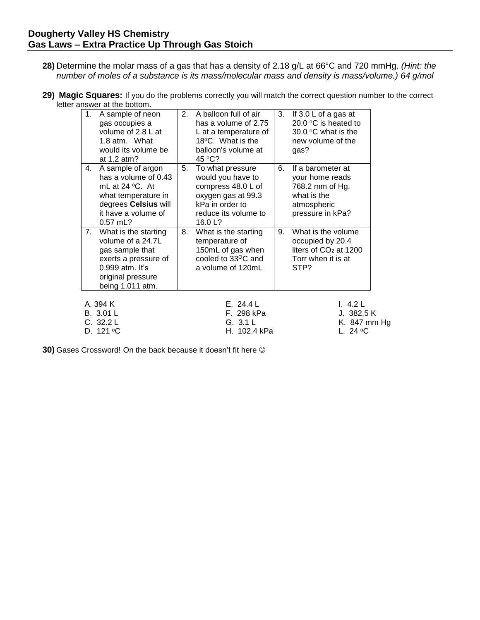- **28)** Determine the molar mass of a gas that has a density of 2.18 g/L at 66°C and 720 mmHg. *(Hint: the number of moles of a substance is its mass/molecular mass and density is mass/volume.) 64 g/mol*
- **29) Magic Squares:** If you do the problems correctly you will match the correct question number to the correct letter answer at the bottom.

| 1.                                 | A sample of neon<br>gas occupies a<br>volume of 2.8 L at<br>1.8 atm. What<br>would its volume be<br>at 1.2 atm?                                    | 2. | A balloon full of air<br>has a volume of 2.75<br>L at a temperature of<br>18°C. What is the<br>balloon's volume at<br>45 $\mathrm{^{\circ}C?}$ | 3.                                    | If $3.0 \, \text{L}$ of a gas at<br>20.0 $\degree$ C is heated to<br>30.0 °C what is the<br>new volume of the<br>gas? |  |
|------------------------------------|----------------------------------------------------------------------------------------------------------------------------------------------------|----|------------------------------------------------------------------------------------------------------------------------------------------------|---------------------------------------|-----------------------------------------------------------------------------------------------------------------------|--|
| 4.                                 | A sample of argon<br>has a volume of 0.43<br>mL at $24$ °C. At<br>what temperature in<br>degrees Celsius will<br>it have a volume of<br>$0.57$ mL? | 5. | To what pressure<br>would you have to<br>compress 48.0 L of<br>oxygen gas at 99.3<br>kPa in order to<br>reduce its volume to<br>16.0 L?        | 6.                                    | If a barometer at<br>your home reads<br>768.2 mm of Hg,<br>what is the<br>atmospheric<br>pressure in kPa?             |  |
| 7.                                 | What is the starting<br>volume of a 24.7L<br>gas sample that<br>exerts a pressure of<br>0.999 atm. It's<br>original pressure<br>being 1.011 atm.   | 8. | What is the starting<br>temperature of<br>150mL of gas when<br>cooled to 33 <sup>o</sup> C and<br>a volume of 120mL                            | 9.                                    | What is the volume<br>occupied by 20.4<br>liters of $CO2$ at 1200<br>Torr when it is at<br>STP?                       |  |
| A. 394 K<br>B. 3.01 L<br>C. 32.2 L |                                                                                                                                                    |    | E. 24.4 L<br>F. 298 kPa<br>G. 3.1 L                                                                                                            | 1.4.2 L<br>J. 382.5 K<br>K. 847 mm Hg |                                                                                                                       |  |

D. 121 <sup>o</sup>C H. 102.4 kPa L. 24 <sup>o</sup>C

**30)** Gases Crossword! On the back because it doesn't fit here  $\circledcirc$